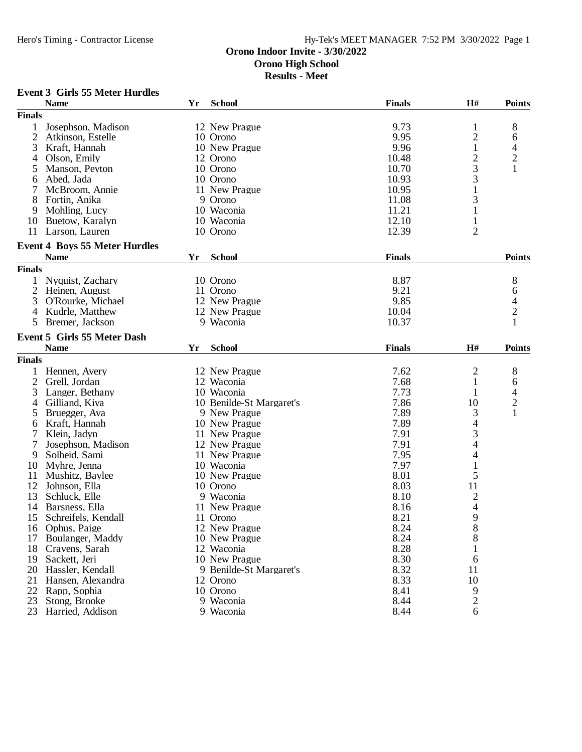**Results - Meet**

# **Event 3 Girls 55 Meter Hurdles**

|                | <b>Name</b>                                         | Yr | <b>School</b>            | <b>Finals</b> | H#                                         | <b>Points</b>                              |
|----------------|-----------------------------------------------------|----|--------------------------|---------------|--------------------------------------------|--------------------------------------------|
| <b>Finals</b>  |                                                     |    |                          |               |                                            |                                            |
| 1              | Josephson, Madison                                  |    | 12 New Prague            | 9.73          | 1                                          | 8                                          |
| $\overline{2}$ | Atkinson, Estelle                                   |    | 10 Orono                 | 9.95          | $\overline{c}$                             | 6                                          |
| 3              | Kraft, Hannah                                       |    | 10 New Prague            | 9.96          | 1                                          | 4                                          |
| 4              | Olson, Emily                                        |    | 12 Orono                 | 10.48         |                                            |                                            |
| 5              | Manson, Peyton                                      |    | 10 Orono                 | 10.70         | $\frac{2}{3}$                              | $\frac{2}{1}$                              |
| 6              | Abed, Jada                                          |    | 10 Orono                 | 10.93         | 3                                          |                                            |
| 7              | McBroom, Annie                                      |    | 11 New Prague            | 10.95         | $\mathbf{1}$                               |                                            |
| 8              | Fortin, Anika                                       |    | 9 Orono                  | 11.08         | 3                                          |                                            |
| 9              | Mohling, Lucy                                       |    | 10 Waconia               | 11.21         | $\mathbf 1$                                |                                            |
| 10             | Buetow, Karalyn                                     |    | 10 Waconia               | 12.10         | $\mathbf{1}$                               |                                            |
| 11             | Larson, Lauren                                      |    | 10 Orono                 | 12.39         | $\overline{2}$                             |                                            |
|                |                                                     |    |                          |               |                                            |                                            |
|                | <b>Event 4 Boys 55 Meter Hurdles</b><br><b>Name</b> | Yr | <b>School</b>            | <b>Finals</b> |                                            | <b>Points</b>                              |
|                |                                                     |    |                          |               |                                            |                                            |
| <b>Finals</b>  |                                                     |    |                          |               |                                            |                                            |
| 1              | Nyquist, Zachary                                    |    | 10 Orono                 | 8.87          |                                            | 8                                          |
|                | 2 Heinen, August                                    |    | 11 Orono                 | 9.21          |                                            | 6                                          |
| 3              | O'Rourke, Michael                                   |    | 12 New Prague            | 9.85          |                                            | $\frac{4}{2}$                              |
| 4              | Kudrle, Matthew                                     |    | 12 New Prague            | 10.04         |                                            |                                            |
| 5              | Bremer, Jackson                                     |    | 9 Waconia                | 10.37         |                                            | $\mathbf{1}$                               |
|                | Event 5 Girls 55 Meter Dash                         |    |                          |               |                                            |                                            |
|                | <b>Name</b>                                         | Yr | <b>School</b>            | <b>Finals</b> | H#                                         | <b>Points</b>                              |
| <b>Finals</b>  |                                                     |    |                          |               |                                            |                                            |
| 1              | Hennen, Avery                                       |    | 12 New Prague            | 7.62          | $\overline{c}$                             | 8                                          |
| 2              | Grell, Jordan                                       |    | 12 Waconia               | 7.68          | 1                                          | 6                                          |
| 3              | Langer, Bethany                                     |    | 10 Waconia               | 7.73          | 1                                          |                                            |
| 4              | Gilliand, Kiya                                      |    | 10 Benilde-St Margaret's | 7.86          | 10                                         | $\begin{array}{c} 4 \\ 2 \\ 1 \end{array}$ |
| 5              | Bruegger, Ava                                       |    | 9 New Prague             | 7.89          | 3                                          |                                            |
| 6              | Kraft, Hannah                                       |    | 10 New Prague            | 7.89          | 4                                          |                                            |
| 7              | Klein, Jadyn                                        |    | 11 New Prague            | 7.91          | 3                                          |                                            |
| 7              | Josephson, Madison                                  |    | 12 New Prague            | 7.91          | 4                                          |                                            |
| 9              | Solheid, Sami                                       |    | 11 New Prague            | 7.95          | 4                                          |                                            |
| 10             | Myhre, Jenna                                        |    | 10 Waconia               | 7.97          | $\mathbf 1$                                |                                            |
| 11             | Mushitz, Baylee                                     |    | 10 New Prague            | 8.01          | 5                                          |                                            |
| 12             | Johnson, Ella                                       |    | 10 Orono                 | 8.03          | 11                                         |                                            |
| 13             | Schluck, Elle                                       |    | 9 Waconia                | 8.10          |                                            |                                            |
| 14             | Barsness, Ella                                      |    | 11 New Prague            | 8.16          | $\begin{array}{c} 2 \\ 4 \\ 9 \end{array}$ |                                            |
| 15             | Schreifels, Kendall                                 |    | 11 Orono                 | 8.21          |                                            |                                            |
| 16             | Ophus, Paige                                        |    | 12 New Prague            | 8.24          | $8\,$                                      |                                            |
| 17             | Boulanger, Maddy                                    |    | 10 New Prague            | 8.24          | 8                                          |                                            |
| 18             | Cravens, Sarah                                      |    | 12 Waconia               | 8.28          |                                            |                                            |
|                |                                                     |    |                          |               |                                            |                                            |
| 19             | Sackett, Jeri                                       |    | 10 New Prague            | 8.30          | 6                                          |                                            |
| 20             | Hassler, Kendall                                    |    | 9 Benilde-St Margaret's  | 8.32          | 11                                         |                                            |
| 21             | Hansen, Alexandra                                   |    | 12 Orono                 | 8.33          | 10                                         |                                            |
| 22             | Rapp, Sophia                                        |    | 10 Orono                 | 8.41          | 9                                          |                                            |
| 23             | Stong, Brooke                                       |    | 9 Waconia                | 8.44          | $\overline{2}$                             |                                            |
| 23             | Harried, Addison                                    |    | 9 Waconia                | 8.44          | 6                                          |                                            |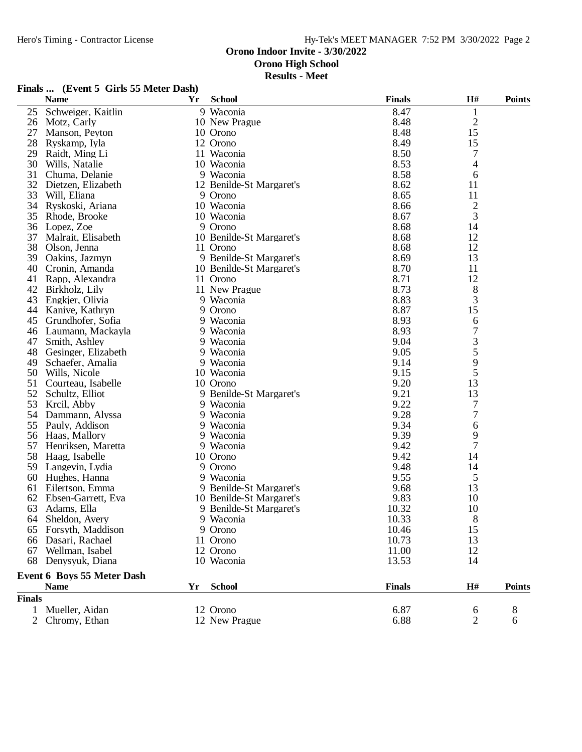**Results - Meet**

# **Finals ... (Event 5 Girls 55 Meter Dash)**

|               | <b>Name</b>                | Yr | <b>School</b>            | <b>Finals</b> | $\mathbf{H}$ # | <b>Points</b> |
|---------------|----------------------------|----|--------------------------|---------------|----------------|---------------|
| 25            | Schweiger, Kaitlin         |    | 9 Waconia                | 8.47          | 1              |               |
| 26            | Motz, Carly                |    | 10 New Prague            | 8.48          | $\overline{c}$ |               |
| 27            | Manson, Peyton             |    | 10 Orono                 | 8.48          | 15             |               |
| 28            | Ryskamp, Iyla              |    | 12 Orono                 | 8.49          | 15             |               |
| 29            | Raidt, Ming Li             |    | 11 Waconia               | 8.50          | 7              |               |
| 30            | Wills, Natalie             |    | 10 Waconia               | 8.53          | 4              |               |
| 31            | Chuma, Delanie             |    | 9 Waconia                | 8.58          | 6              |               |
| 32            | Dietzen, Elizabeth         |    | 12 Benilde-St Margaret's | 8.62          | 11             |               |
| 33            | Will, Eliana               |    | 9 Orono                  | 8.65          | 11             |               |
| 34            | Ryskoski, Ariana           |    | 10 Waconia               | 8.66          | $\overline{c}$ |               |
| 35            | Rhode, Brooke              |    | 10 Waconia               | 8.67          | 3              |               |
| 36            | Lopez, Zoe                 |    | 9 Orono                  | 8.68          | 14             |               |
| 37            | Malrait, Elisabeth         |    | 10 Benilde-St Margaret's | 8.68          | 12             |               |
| 38            | Olson, Jenna               |    | 11 Orono                 | 8.68          | 12             |               |
| 39            | Oakins, Jazmyn             |    | 9 Benilde-St Margaret's  | 8.69          | 13             |               |
| 40            | Cronin, Amanda             |    | 10 Benilde-St Margaret's | 8.70          | 11             |               |
| 41            | Rapp, Alexandra            |    | 11 Orono                 | 8.71          | 12             |               |
| 42            | Birkholz, Lily             |    | 11 New Prague            | 8.73          | 8              |               |
| 43            | Engkjer, Olivia            |    | 9 Waconia                | 8.83          | 3              |               |
| 44            | Kanive, Kathryn            |    | 9 Orono                  | 8.87          | 15             |               |
| 45            | Grundhofer, Sofia          |    | 9 Waconia                | 8.93          | 6              |               |
| 46            | Laumann, Mackayla          |    | 9 Waconia                | 8.93          | $\overline{7}$ |               |
| 47            | Smith, Ashley              |    | 9 Waconia                | 9.04          |                |               |
| 48            | Gesinger, Elizabeth        |    | 9 Waconia                | 9.05          | $rac{3}{5}$    |               |
| 49            | Schaefer, Amalia           |    | 9 Waconia                | 9.14          | 9              |               |
| 50            | Wills, Nicole              |    | 10 Waconia               | 9.15          | 5              |               |
| 51            | Courteau, Isabelle         |    | 10 Orono                 | 9.20          | 13             |               |
| 52            | Schultz, Elliot            |    | 9 Benilde-St Margaret's  | 9.21          | 13             |               |
| 53            | Krcil, Abby                |    | 9 Waconia                | 9.22          | 7              |               |
| 54            | Dammann, Alyssa            |    | 9 Waconia                | 9.28          | 7              |               |
| 55            | Pauly, Addison             |    | 9 Waconia                | 9.34          | 6              |               |
| 56            | Haas, Mallory              |    | 9 Waconia                | 9.39          | 9              |               |
| 57            | Henriksen, Maretta         |    | 9 Waconia                | 9.42          | $\overline{7}$ |               |
| 58            | Haag, Isabelle             |    | 10 Orono                 | 9.42          | 14             |               |
| 59            | Langevin, Lydia            |    | 9 Orono                  | 9.48          | 14             |               |
| 60            | Hughes, Hanna              |    | 9 Waconia                | 9.55          | 5              |               |
| 61            | Eilertson, Emma            |    | 9 Benilde-St Margaret's  | 9.68          | 13             |               |
| 62            | Ebsen-Garrett, Eva         |    | 10 Benilde-St Margaret's | 9.83          | 10             |               |
| 63            | Adams, Ella                |    | 9 Benilde-St Margaret's  | 10.32         | 10             |               |
|               | 64 Sheldon, Avery          |    | 9 Waconia                | 10.33         | 8              |               |
|               | 65 Forsyth, Maddison       |    | 9 Orono                  | 10.46         | 15             |               |
| 66            | Dasari, Rachael            |    | 11 Orono                 | 10.73         | 13             |               |
| 67            | Wellman, Isabel            |    | 12 Orono                 | 11.00         | 12             |               |
| 68            | Denysyuk, Diana            |    | 10 Waconia               | 13.53         | 14             |               |
|               | Event 6 Boys 55 Meter Dash |    |                          |               |                |               |
|               | <b>Name</b>                | Yr | <b>School</b>            | <b>Finals</b> | H#             | <b>Points</b> |
| <b>Finals</b> |                            |    |                          |               |                |               |
| $\mathbf{1}$  | Mueller, Aidan             |    | 12 Orono                 | 6.87          | 6              | 8             |
|               | 2 Chromy, Ethan            |    | 12 New Prague            | 6.88          | $\mathbf{2}$   | 6             |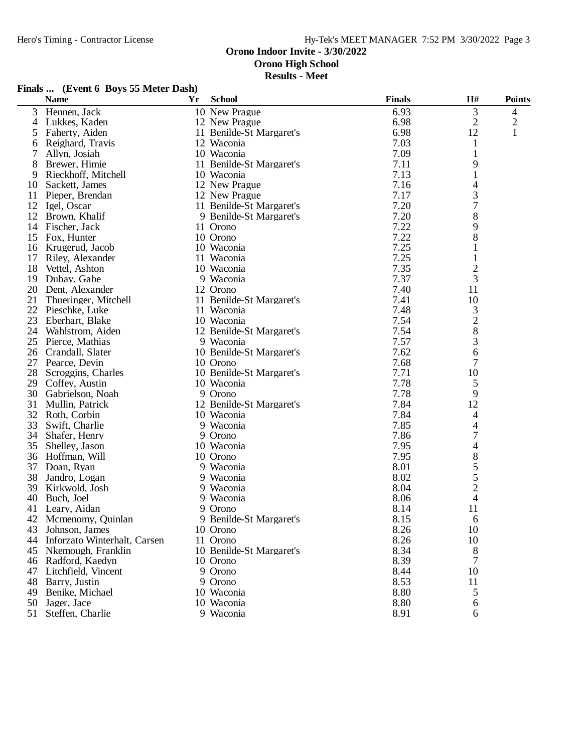# **Orono Indoor Invite - 3/30/2022**

**Orono High School**

**Results - Meet**

| Finals  (Event 6 Boys 55 Meter Dash) |  |  |  |  |
|--------------------------------------|--|--|--|--|
|--------------------------------------|--|--|--|--|

|    | <b>Name</b>                  | Yr | <b>School</b>                        | <b>Finals</b> | $\mathbf{H}^{\#}$ | <b>Points</b>  |
|----|------------------------------|----|--------------------------------------|---------------|-------------------|----------------|
| 3  | Hennen, Jack                 |    | 10 New Prague                        | 6.93          | 3                 | $\overline{4}$ |
| 4  | Lukkes, Kaden                |    | 12 New Prague                        | 6.98          | $\overline{2}$    | $\overline{c}$ |
| 5  | Faherty, Aiden               |    | 11 Benilde-St Margaret's             | 6.98          | 12                | 1              |
| 6  | Reighard, Travis             |    | 12 Waconia                           | 7.03          | 1                 |                |
| 7  | Allyn, Josiah                |    | 10 Waconia                           | 7.09          | 1                 |                |
| 8  | Brewer, Himie                |    | 11 Benilde-St Margaret's             | 7.11          | 9                 |                |
| 9  | Rieckhoff, Mitchell          |    | 10 Waconia                           | 7.13          | $\mathbf{1}$      |                |
| 10 | Sackett, James               |    | 12 New Prague                        | 7.16          | 4                 |                |
| 11 | Pieper, Brendan              |    | 12 New Prague                        | 7.17          | 3                 |                |
| 12 | Igel, Oscar                  |    | 11 Benilde-St Margaret's             | 7.20          | 7                 |                |
|    | 12 Brown, Khalif             |    | 9 Benilde-St Margaret's              | 7.20          | 8                 |                |
| 14 | Fischer, Jack                |    | 11 Orono                             | 7.22          | 9                 |                |
| 15 | Fox, Hunter                  |    | 10 Orono                             | 7.22          | 8                 |                |
| 16 | Krugerud, Jacob              |    | 10 Waconia                           | 7.25          | 1                 |                |
| 17 | Riley, Alexander             |    | 11 Waconia                           | 7.25          | 1                 |                |
| 18 | Vettel, Ashton               |    | 10 Waconia                           | 7.35          | $\overline{c}$    |                |
| 19 | Dubay, Gabe                  |    | 9 Waconia                            | 7.37          | 3                 |                |
| 20 | Dent, Alexander              |    | 12 Orono                             | 7.40          | 11                |                |
| 21 | Thueringer, Mitchell         |    | 11 Benilde-St Margaret's             | 7.41          | 10                |                |
| 22 | Pieschke, Luke               |    | 11 Waconia                           | 7.48          | 3                 |                |
| 23 | Eberhart, Blake              |    | 10 Waconia                           | 7.54          | $\overline{c}$    |                |
| 24 | Wahlstrom, Aiden             |    | 12 Benilde-St Margaret's             | 7.54          | 8                 |                |
| 25 |                              |    | 9 Waconia                            | 7.57          | 3                 |                |
| 26 | Pierce, Mathias              |    |                                      | 7.62          | 6                 |                |
|    | Crandall, Slater             |    | 10 Benilde-St Margaret's<br>10 Orono |               | 7                 |                |
| 27 | Pearce, Devin                |    |                                      | 7.68          |                   |                |
| 28 | Scroggins, Charles           |    | 10 Benilde-St Margaret's             | 7.71<br>7.78  | 10                |                |
| 29 | Coffey, Austin               |    | 10 Waconia                           |               | 5                 |                |
| 30 | Gabrielson, Noah             |    | 9 Orono                              | 7.78          | 9                 |                |
| 31 | Mullin, Patrick              |    | 12 Benilde-St Margaret's             | 7.84          | 12                |                |
| 32 | Roth, Corbin                 |    | 10 Waconia                           | 7.84          | 4                 |                |
| 33 | Swift, Charlie               |    | 9 Waconia                            | 7.85          | 4                 |                |
| 34 | Shafer, Henry                |    | 9 Orono                              | 7.86          | 7                 |                |
| 35 | Shelley, Jason               |    | 10 Waconia                           | 7.95          | 4                 |                |
| 36 | Hoffman, Will                |    | 10 Orono                             | 7.95          | 8                 |                |
| 37 | Doan, Ryan                   |    | 9 Waconia                            | 8.01          | 5                 |                |
| 38 | Jandro, Logan                |    | 9 Waconia                            | 8.02          | 5                 |                |
| 39 | Kirkwold, Josh               |    | 9 Waconia                            | 8.04          | $\overline{2}$    |                |
| 40 | Buch, Joel                   |    | 9 Waconia                            | 8.06          | 4                 |                |
| 41 | Leary, Aidan                 |    | 9 Orono                              | 8.14          | 11                |                |
|    | 42 Mcmenomy, Quinlan         |    | 9 Benilde-St Margaret's              | 8.15          | 6                 |                |
| 43 | Johnson, James               |    | 10 Orono                             | 8.26          | 10                |                |
| 44 | Inforzato Winterhalt, Carsen |    | 11 Orono                             | 8.26          | 10                |                |
| 45 | Nkemough, Franklin           |    | 10 Benilde-St Margaret's             | 8.34          | 8                 |                |
|    | 46 Radford, Kaedyn           |    | 10 Orono                             | 8.39          | 7                 |                |
| 47 | Litchfield, Vincent          |    | 9 Orono                              | 8.44          | 10                |                |
| 48 | Barry, Justin                |    | 9 Orono                              | 8.53          | 11                |                |
| 49 | Benike, Michael              |    | 10 Waconia                           | 8.80          | 5                 |                |
| 50 | Jager, Jace                  |    | 10 Waconia                           | 8.80          | 6                 |                |
| 51 | Steffen, Charlie             |    | 9 Waconia                            | 8.91          | 6                 |                |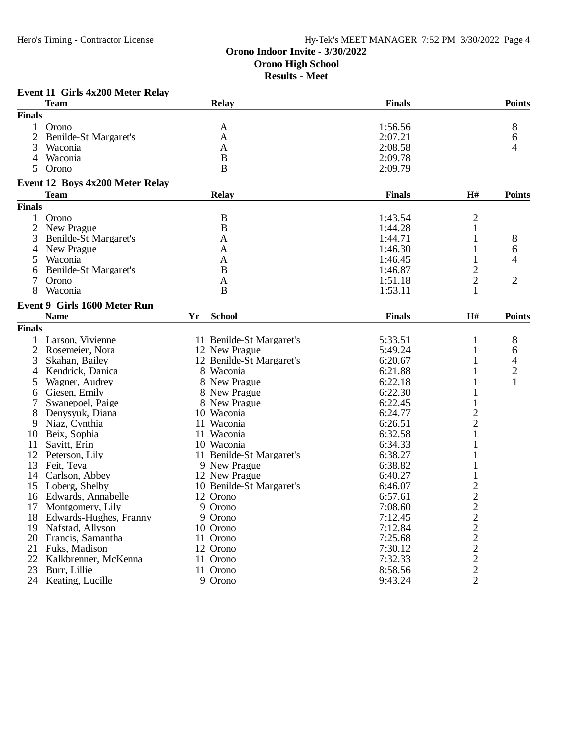## **Orono Indoor Invite - 3/30/2022 Orono High School Results - Meet**

| Event 11 Girls 4x200 Meter Relay |  |  |  |  |
|----------------------------------|--|--|--|--|
|----------------------------------|--|--|--|--|

|                | <b>Team</b>                         |    | <b>Relay</b>             | <b>Finals</b> |                | <b>Points</b>  |
|----------------|-------------------------------------|----|--------------------------|---------------|----------------|----------------|
| <b>Finals</b>  |                                     |    |                          |               |                |                |
| 1              | Orono                               |    | A                        | 1:56.56       |                | 8              |
| $\overline{2}$ | Benilde-St Margaret's               |    | A                        | 2:07.21       |                | 6              |
| 3              | Waconia                             |    | A                        | 2:08.58       |                | 4              |
| $\overline{4}$ | Waconia                             |    | $\overline{B}$           | 2:09.78       |                |                |
| 5.             | Orono                               |    | B                        | 2:09.79       |                |                |
|                | Event 12 Boys 4x200 Meter Relay     |    |                          |               |                |                |
|                | <b>Team</b>                         |    | <b>Relay</b>             | <b>Finals</b> | $\mathbf{H}$ # | <b>Points</b>  |
| <b>Finals</b>  |                                     |    |                          |               |                |                |
| 1              | Orono                               |    | B                        | 1:43.54       | $\overline{c}$ |                |
| $\overline{c}$ | New Prague                          |    | $\bf{B}$                 | 1:44.28       | $\mathbf{1}$   |                |
| 3              | Benilde-St Margaret's               |    | A                        | 1:44.71       | 1              | 8              |
| 4              | New Prague                          |    | $\mathbf{A}$             | 1:46.30       | 1              |                |
|                | Waconia                             |    |                          |               |                | 6              |
| 5              |                                     |    | A                        | 1:46.45       | 1              | 4              |
| 6              | Benilde-St Margaret's               |    | B                        | 1:46.87       | $\overline{2}$ |                |
| 7              | Orono                               |    | A                        | 1:51.18       | $\overline{2}$ | $\overline{2}$ |
| 8              | Waconia                             |    | B                        | 1:53.11       | 1              |                |
|                | <b>Event 9 Girls 1600 Meter Run</b> |    |                          |               |                |                |
|                | <b>Name</b>                         | Yr | <b>School</b>            | <b>Finals</b> | H#             | <b>Points</b>  |
| <b>Finals</b>  |                                     |    |                          |               |                |                |
| 1              | Larson, Vivienne                    |    | 11 Benilde-St Margaret's | 5:33.51       | $\mathbf{1}$   | 8              |
| $\overline{2}$ | Rosemeier, Nora                     |    | 12 New Prague            | 5:49.24       | 1              | 6              |
| 3              | Skahan, Bailey                      |    | 12 Benilde-St Margaret's | 6:20.67       | 1              | 4              |
| 4              | Kendrick, Danica                    |    | 8 Waconia                | 6:21.88       | 1              | $\overline{2}$ |
| 5              | Wagner, Audrey                      |    | 8 New Prague             | 6:22.18       | 1              | 1              |
| 6              | Giesen, Emily                       |    | 8 New Prague             | 6:22.30       | 1              |                |
| 7              | Swanepoel, Paige                    |    | 8 New Prague             | 6:22.45       | $\mathbf{1}$   |                |
| 8              | Denysyuk, Diana                     |    | 10 Waconia               | 6:24.77       | $\overline{c}$ |                |
| 9              | Niaz, Cynthia                       |    | 11 Waconia               | 6:26.51       | $\overline{2}$ |                |
|                | 10 Beix, Sophia                     |    | 11 Waconia               | 6:32.58       | 1              |                |
| 11             | Savitt, Erin                        |    | 10 Waconia               | 6:34.33       | 1              |                |
|                |                                     |    |                          | 6:38.27       | 1              |                |
|                | 12 Peterson, Lily                   |    | 11 Benilde-St Margaret's |               |                |                |
|                | 13 Feit, Teva                       |    | 9 New Prague             | 6:38.82       |                |                |
| 14             | Carlson, Abbey                      |    | 12 New Prague            | 6:40.27       | 1              |                |
| 15             | Loberg, Shelby                      |    | 10 Benilde-St Margaret's | 6:46.07       | $\overline{c}$ |                |
|                | 16 Edwards, Annabelle               |    | 12 Orono                 | 6:57.61       |                |                |
|                | 17 Montgomery, Lily                 |    | 9 Orono                  | 7:08.60       |                |                |
|                | 18 Edwards-Hughes, Franny           |    | 9 Orono                  | 7:12.45       |                |                |
|                | 19 Nafstad, Allyson                 |    | 10 Orono                 | 7:12.84       |                |                |
|                | 20 Francis, Samantha                |    | 11 Orono                 | 7:25.68       | 222222222      |                |
| 21             | Fuks, Madison                       |    | 12 Orono                 | 7:30.12       |                |                |
| 22             | Kalkbrenner, McKenna                |    | 11 Orono                 | 7:32.33       |                |                |
| 23             | Burr, Lillie                        |    | 11 Orono                 | 8:58.56       |                |                |
| 24             | Keating, Lucille                    |    | 9 Orono                  | 9:43.24       |                |                |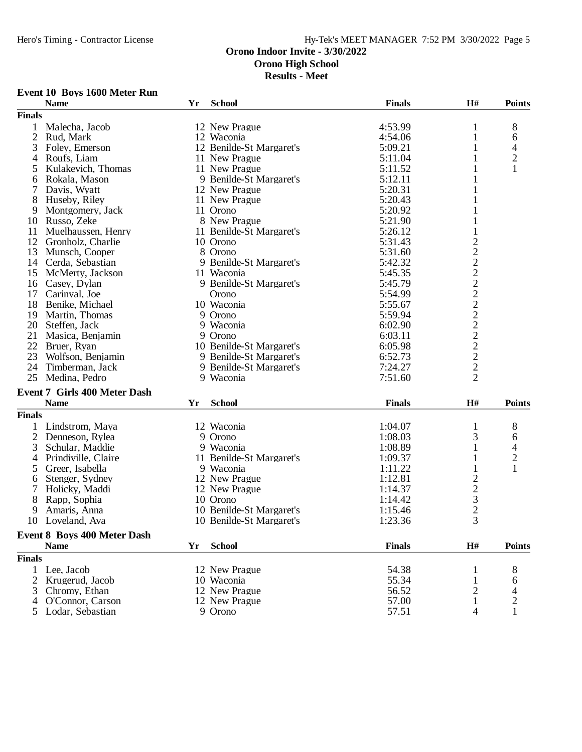**Results - Meet**

# **Event 10 Boys 1600 Meter Run**

|                | <b>Name</b>                         | Yr | <b>School</b>            | <b>Finals</b> | H#                                                     | <b>Points</b>  |
|----------------|-------------------------------------|----|--------------------------|---------------|--------------------------------------------------------|----------------|
| <b>Finals</b>  |                                     |    |                          |               |                                                        |                |
| $\mathbf{1}$   | Malecha, Jacob                      |    | 12 New Prague            | 4:53.99       | 1                                                      | $\,8\,$        |
| $\mathfrak{2}$ | Rud, Mark                           |    | 12 Waconia               | 4:54.06       | 1                                                      | 6              |
| 3              | Foley, Emerson                      |    | 12 Benilde-St Margaret's | 5:09.21       | 1                                                      | 4              |
| 4              | Roufs, Liam                         |    | 11 New Prague            | 5:11.04       |                                                        | $\overline{c}$ |
| 5              | Kulakevich, Thomas                  |    | 11 New Prague            | 5:11.52       | 1                                                      | 1              |
| 6              | Rokala, Mason                       |    | 9 Benilde-St Margaret's  | 5:12.11       | 1                                                      |                |
| 7              | Davis, Wyatt                        |    | 12 New Prague            | 5:20.31       | $\mathbf{1}$                                           |                |
| 8              | Huseby, Riley                       |    | 11 New Prague            | 5:20.43       | 1                                                      |                |
| 9              | Montgomery, Jack                    |    | 11 Orono                 | 5:20.92       | 1                                                      |                |
| 10             | Russo, Zeke                         |    | 8 New Prague             | 5:21.90       | 1                                                      |                |
| 11             | Muelhaussen, Henry                  |    | 11 Benilde-St Margaret's | 5:26.12       | $\mathbf{1}$                                           |                |
| 12             | Gronholz, Charlie                   |    | 10 Orono                 | 5:31.43       |                                                        |                |
| 13             | Munsch, Cooper                      |    | 8 Orono                  | 5:31.60       |                                                        |                |
| 14             | Cerda, Sebastian                    |    | 9 Benilde-St Margaret's  | 5:42.32       |                                                        |                |
| 15             | McMerty, Jackson                    |    | 11 Waconia               | 5:45.35       |                                                        |                |
| 16             | Casey, Dylan                        |    | 9 Benilde-St Margaret's  | 5:45.79       |                                                        |                |
| 17             | Carinval, Joe                       |    | Orono                    | 5:54.99       |                                                        |                |
| 18             |                                     |    | 10 Waconia               |               |                                                        |                |
|                | Benike, Michael                     |    |                          | 5:55.67       |                                                        |                |
| 19             | Martin, Thomas                      |    | 9 Orono                  | 5:59.94       |                                                        |                |
|                | 20 Steffen, Jack                    |    | 9 Waconia                | 6:02.90       |                                                        |                |
| 21             | Masica, Benjamin                    |    | 9 Orono                  | 6:03.11       |                                                        |                |
| 22             | Bruer, Ryan                         |    | 10 Benilde-St Margaret's | 6:05.98       |                                                        |                |
| 23             | Wolfson, Benjamin                   |    | 9 Benilde-St Margaret's  | 6:52.73       | 222222222222                                           |                |
| 24             | Timberman, Jack                     |    | 9 Benilde-St Margaret's  | 7:24.27       |                                                        |                |
| 25             | Medina, Pedro                       |    | 9 Waconia                | 7:51.60       |                                                        |                |
|                | <b>Event 7 Girls 400 Meter Dash</b> |    |                          |               |                                                        |                |
|                | <b>Name</b>                         | Yr | <b>School</b>            | <b>Finals</b> | H#                                                     | <b>Points</b>  |
| <b>Finals</b>  |                                     |    |                          |               |                                                        |                |
| 1              | Lindstrom, Maya                     |    | 12 Waconia               | 1:04.07       | 1                                                      | 8              |
| $\overline{2}$ | Denneson, Rylea                     |    | 9 Orono                  | 1:08.03       | 3                                                      | 6              |
| 3              | Schular, Maddie                     |    | 9 Waconia                | 1:08.89       | 1                                                      | 4              |
| 4              | Prindiville, Claire                 |    | 11 Benilde-St Margaret's | 1:09.37       | 1                                                      | $\overline{c}$ |
| 5              | Greer, Isabella                     |    | 9 Waconia                | 1:11.22       | $\mathbf{1}$                                           | $\mathbf{1}$   |
| 6              | Stenger, Sydney                     |    | 12 New Prague            | 1:12.81       |                                                        |                |
| 7              | Holicky, Maddi                      |    | 12 New Prague            | 1:14.37       |                                                        |                |
| 8              | Rapp, Sophia                        |    | 10 Orono                 | 1:14.42       |                                                        |                |
| 9              | Amaris, Anna                        |    | 10 Benilde-St Margaret's | 1:15.46       |                                                        |                |
|                | 10 Loveland, Ava                    |    | 10 Benilde-St Margaret's | 1:23.36       | $\begin{array}{c}\n2 \\ 2 \\ 3 \\ 2 \\ 3\n\end{array}$ |                |
|                |                                     |    |                          |               |                                                        |                |
|                | <b>Event 8 Boys 400 Meter Dash</b>  |    |                          |               |                                                        |                |
|                | <b>Name</b>                         | Yr | <b>School</b>            | <b>Finals</b> | H#                                                     | <b>Points</b>  |
| <b>Finals</b>  |                                     |    |                          |               |                                                        |                |
| 1              | Lee, Jacob                          |    | 12 New Prague            | 54.38         | 1                                                      | 8              |
| $\overline{2}$ | Krugerud, Jacob                     |    | 10 Waconia               | 55.34         | 1                                                      | 6              |
| 3              | Chromy, Ethan                       |    | 12 New Prague            | 56.52         | 2                                                      | 4              |
| 4              | O'Connor, Carson                    |    | 12 New Prague            | 57.00         | $\mathbf{1}$                                           | $\overline{c}$ |
|                | Lodar, Sebastian                    |    | 9 Orono                  | 57.51         | 4                                                      | $\mathbf{1}$   |
|                |                                     |    |                          |               |                                                        |                |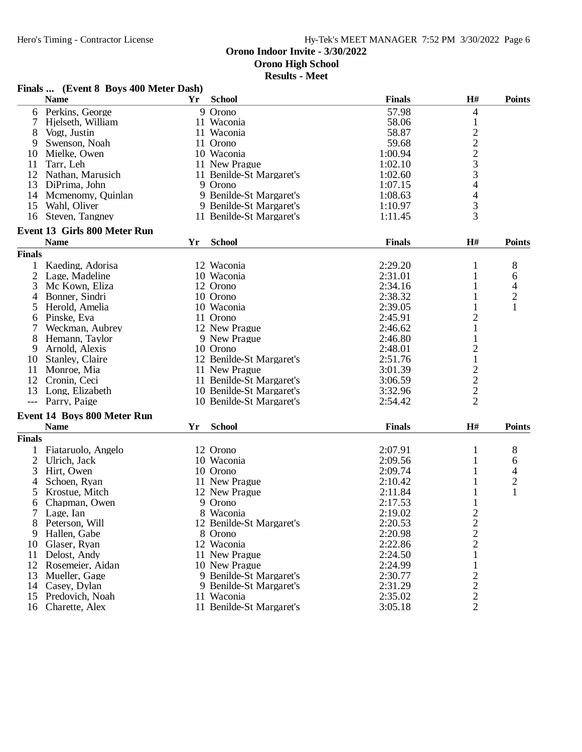**Results - Meet**

#### **Finals ... (Event 8 Boys 400 Meter Dash)**

|                | <b>Name</b>                         | Yr | <b>School</b>            | <b>Finals</b> | H#                                              | <b>Points</b> |
|----------------|-------------------------------------|----|--------------------------|---------------|-------------------------------------------------|---------------|
|                | 6 Perkins, George                   |    | 9 Orono                  | 57.98         | 4                                               |               |
| 7              | Hjelseth, William                   |    | 11 Waconia               | 58.06         | $\mathbf{1}$                                    |               |
| 8              | Vogt, Justin                        |    | 11 Waconia               | 58.87         |                                                 |               |
| 9              | Swenson, Noah                       |    | 11 Orono                 | 59.68         | $2223$<br>$33$<br>$4$                           |               |
| 10             | Mielke, Owen                        |    | 10 Waconia               | 1:00.94       |                                                 |               |
| 11             | Tarr, Leh                           |    | 11 New Prague            | 1:02.10       |                                                 |               |
|                | 12 Nathan, Marusich                 |    | 11 Benilde-St Margaret's | 1:02.60       |                                                 |               |
| 13             | DiPrima, John                       |    | 9 Orono                  | 1:07.15       |                                                 |               |
| 14             |                                     |    | 9 Benilde-St Margaret's  | 1:08.63       |                                                 |               |
|                | Mcmenomy, Quinlan                   |    |                          |               | 4                                               |               |
| 15             | Wahl, Oliver                        |    | 9 Benilde-St Margaret's  | 1:10.97       | 3                                               |               |
| 16             | Steven, Tangney                     |    | 11 Benilde-St Margaret's | 1:11.45       | 3                                               |               |
|                | <b>Event 13 Girls 800 Meter Run</b> |    |                          |               |                                                 |               |
|                | <b>Name</b>                         | Yr | <b>School</b>            | <b>Finals</b> | H#                                              | <b>Points</b> |
| <b>Finals</b>  |                                     |    |                          |               |                                                 |               |
| 1              | Kaeding, Adorisa                    |    | 12 Waconia               | 2:29.20       | 1                                               | 8             |
| $\overline{2}$ | Lage, Madeline                      |    | 10 Waconia               | 2:31.01       | 1                                               | 6             |
| 3              | Mc Kown, Eliza                      |    | 12 Orono                 | 2:34.16       | 1                                               | 4             |
| 4              | Bonner, Sindri                      |    | 10 Orono                 | 2:38.32       | 1                                               | $\mathbf{2}$  |
| 5              | Herold, Amelia                      |    | 10 Waconia               | 2:39.05       | 1                                               | $\mathbf{1}$  |
| 6              | Pinske, Eva                         |    | 11 Orono                 | 2:45.91       | $\overline{\mathbf{c}}$                         |               |
| 7              | Weckman, Aubrey                     |    | 12 New Prague            | 2:46.62       | $\mathbf{1}$                                    |               |
| 8              | Hemann, Taylor                      |    | 9 New Prague             | 2:46.80       | $\mathbf{1}$                                    |               |
| 9              | Arnold, Alexis                      |    | 10 Orono                 | 2:48.01       | $\overline{\mathbf{c}}$                         |               |
| 10             | Stanley, Claire                     |    | 12 Benilde-St Margaret's | 2:51.76       | $\mathbf{1}$                                    |               |
| 11             | Monroe, Mia                         |    | 11 New Prague            | 3:01.39       |                                                 |               |
| 12             |                                     |    | 11 Benilde-St Margaret's |               | $\overline{\mathbf{c}}$                         |               |
|                | Cronin, Ceci                        |    |                          | 3:06.59       | $\frac{2}{2}$                                   |               |
| 13             | Long, Elizabeth                     |    | 10 Benilde-St Margaret's | 3:32.96       |                                                 |               |
|                | --- Parry, Paige                    |    | 10 Benilde-St Margaret's | 2:54.42       | $\overline{2}$                                  |               |
|                | <b>Event 14 Boys 800 Meter Run</b>  |    |                          |               |                                                 |               |
|                | <b>Name</b>                         | Yr | <b>School</b>            | <b>Finals</b> | H#                                              | <b>Points</b> |
| <b>Finals</b>  |                                     |    |                          |               |                                                 |               |
| 1              | Fiataruolo, Angelo                  |    | 12 Orono                 | 2:07.91       | 1                                               | 8             |
| 2              | Ulrich, Jack                        |    | 10 Waconia               | 2:09.56       | 1                                               | 6             |
| 3              | Hirt, Owen                          |    | 10 Orono                 | 2:09.74       | 1                                               | 4             |
| 4              | Schoen, Ryan                        |    | 11 New Prague            | 2:10.42       |                                                 | $\mathbf{2}$  |
| 5              | Krostue, Mitch                      |    | 12 New Prague            | 2:11.84       | 1                                               | $\mathbf{1}$  |
| 6              | Chapman, Owen                       |    | 9 Orono                  | 2:17.53       | 1                                               |               |
| 7 <sup>1</sup> | Lage, Ian                           |    | 8 Waconia                | 2:19.02       | $\overline{c}$                                  |               |
| 8              | Peterson, Will                      |    | 12 Benilde-St Margaret's | 2:20.53       |                                                 |               |
| 9              | Hallen, Gabe                        |    | 8 Orono                  | 2:20.98       | $\frac{2}{2}$                                   |               |
| 10             | Glaser, Ryan                        |    | 12 Waconia               | 2:22.86       |                                                 |               |
|                | Delost, Andy                        |    |                          |               | $\mathbf{1}$                                    |               |
| 11             |                                     |    | 11 New Prague            | 2:24.50       |                                                 |               |
| 12             | Rosemeier, Aidan                    |    | 10 New Prague            | 2:24.99       | $\mathbf{1}$                                    |               |
| 13             | Mueller, Gage                       |    | 9 Benilde-St Margaret's  | 2:30.77       | $\begin{array}{c} 2 \\ 2 \\ 2 \\ 2 \end{array}$ |               |
| 14             | Casey, Dylan                        |    | 9 Benilde-St Margaret's  | 2:31.29       |                                                 |               |
| 15             | Predovich, Noah                     |    | 11 Waconia               | 2:35.02       |                                                 |               |
| 16             | Charette, Alex                      |    | 11 Benilde-St Margaret's | 3:05.18       |                                                 |               |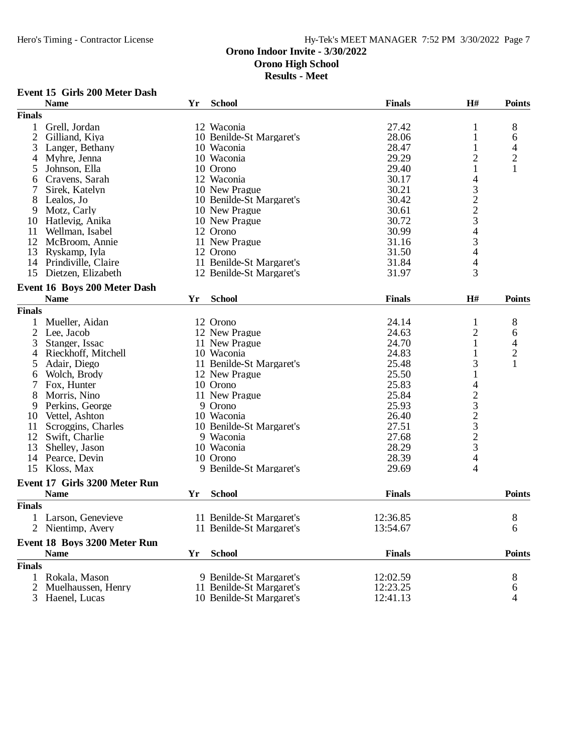**Results - Meet**

#### **Event 15 Girls 200 Meter Dash**

|                | <b>Name</b>                   | Yr | <b>School</b>            | <b>Finals</b> | H#                                              | <b>Points</b>  |
|----------------|-------------------------------|----|--------------------------|---------------|-------------------------------------------------|----------------|
| <b>Finals</b>  |                               |    |                          |               |                                                 |                |
| 1              | Grell, Jordan                 |    | 12 Waconia               | 27.42         | 1                                               | 8              |
| $\overline{c}$ | Gilliand, Kiya                |    | 10 Benilde-St Margaret's | 28.06         | 1                                               | 6              |
| 3              | Langer, Bethany               |    | 10 Waconia               | 28.47         |                                                 | 4              |
| 4              | Myhre, Jenna                  |    | 10 Waconia               | 29.29         | $\overline{2}$                                  | $\overline{c}$ |
| 5              | Johnson, Ella                 |    | 10 Orono                 | 29.40         | 1                                               | $\mathbf{1}$   |
| 6              | Cravens, Sarah                |    | 12 Waconia               | 30.17         | $\overline{\mathcal{L}}$                        |                |
| 7              | Sirek, Katelyn                |    | 10 New Prague            | 30.21         |                                                 |                |
| 8              | Lealos, Jo                    |    | 10 Benilde-St Margaret's | 30.42         |                                                 |                |
| 9              | Motz, Carly                   |    | 10 New Prague            | 30.61         |                                                 |                |
| 10             | Hatlevig, Anika               |    | 10 New Prague            | 30.72         | $\begin{array}{c} 3 \\ 2 \\ 2 \\ 3 \end{array}$ |                |
| 11             | Wellman, Isabel               |    | 12 Orono                 | 30.99         | $\overline{4}$                                  |                |
| 12             | McBroom, Annie                |    | 11 New Prague            | 31.16         | 3                                               |                |
| 13             | Ryskamp, Iyla                 |    | 12 Orono                 | 31.50         | $\overline{\mathcal{A}}$                        |                |
|                | 14 Prindiville, Claire        |    | 11 Benilde-St Margaret's | 31.84         | $\overline{\mathcal{L}}$                        |                |
|                | 15 Dietzen, Elizabeth         |    | 12 Benilde-St Margaret's | 31.97         | 3                                               |                |
|                | Event 16 Boys 200 Meter Dash  |    |                          |               |                                                 |                |
|                | <b>Name</b>                   |    |                          |               |                                                 |                |
|                |                               | Yr | <b>School</b>            | <b>Finals</b> | H#                                              | <b>Points</b>  |
| <b>Finals</b>  |                               |    |                          |               |                                                 |                |
|                | Mueller, Aidan                |    | 12 Orono                 | 24.14         | $\mathbf{1}$                                    | 8              |
| $\overline{c}$ | Lee, Jacob                    |    | 12 New Prague            | 24.63         | 2                                               | 6              |
| 3              | Stanger, Issac                |    | 11 New Prague            | 24.70         | $\mathbf{1}$                                    | $\overline{4}$ |
| 4              | Rieckhoff, Mitchell           |    | 10 Waconia               | 24.83         |                                                 | $\overline{c}$ |
| 5              | Adair, Diego                  |    | 11 Benilde-St Margaret's | 25.48         | 3                                               | 1              |
| 6              | Wolch, Brody                  |    | 12 New Prague            | 25.50         | 1                                               |                |
| 7              | Fox, Hunter                   |    | 10 Orono                 | 25.83         | 4                                               |                |
| 8              | Morris, Nino                  |    | 11 New Prague            | 25.84         |                                                 |                |
| 9              | Perkins, George               |    | 9 Orono                  | 25.93         | $2323$<br>$23$<br>$23$                          |                |
| 10             | Vettel, Ashton                |    | 10 Waconia               | 26.40         |                                                 |                |
| 11             | Scroggins, Charles            |    | 10 Benilde-St Margaret's | 27.51         |                                                 |                |
| 12             | Swift, Charlie                |    | 9 Waconia                | 27.68         |                                                 |                |
| 13             | Shelley, Jason                |    | 10 Waconia               | 28.29         |                                                 |                |
| 14             | Pearce, Devin                 |    | 10 Orono                 | 28.39         | $\overline{4}$                                  |                |
| 15             | Kloss, Max                    |    | 9 Benilde-St Margaret's  | 29.69         | 4                                               |                |
|                | Event 17 Girls 3200 Meter Run |    |                          |               |                                                 |                |
|                | <b>Name</b>                   | Yr | <b>School</b>            | <b>Finals</b> |                                                 | <b>Points</b>  |
| <b>Finals</b>  |                               |    |                          |               |                                                 |                |
|                | 1 Larson, Genevieve           |    | 11 Benilde-St Margaret's | 12:36.85      |                                                 | 8              |
|                | 2 Nientimp, Avery             |    | 11 Benilde-St Margaret's | 13:54.67      |                                                 | 6              |
|                |                               |    |                          |               |                                                 |                |
|                | Event 18 Boys 3200 Meter Run  |    |                          |               |                                                 |                |
|                | <b>Name</b>                   | Yr | <b>School</b>            | <b>Finals</b> |                                                 | <b>Points</b>  |
| <b>Finals</b>  |                               |    |                          |               |                                                 |                |
| 1              | Rokala, Mason                 |    | 9 Benilde-St Margaret's  | 12:02.59      |                                                 | 8              |
| 2              | Muelhaussen, Henry            |    | 11 Benilde-St Margaret's | 12:23.25      |                                                 | 6              |
| 3              | Haenel, Lucas                 |    | 10 Benilde-St Margaret's | 12:41.13      |                                                 | 4              |
|                |                               |    |                          |               |                                                 |                |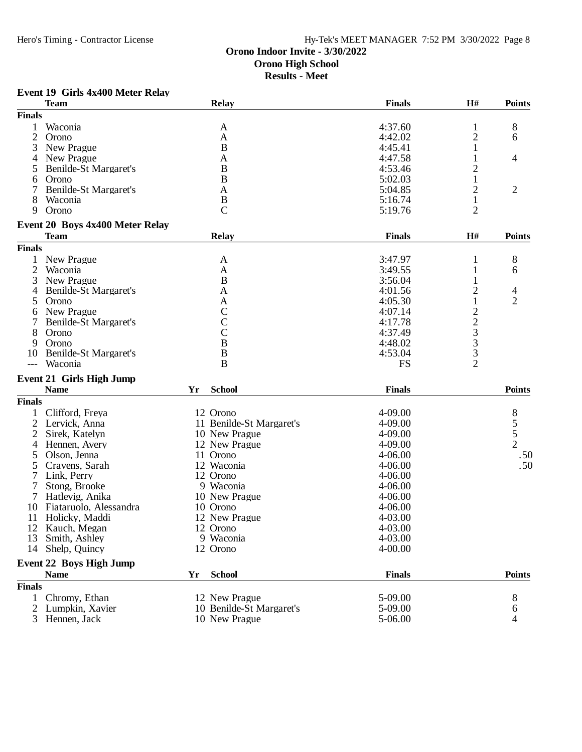## **Orono Indoor Invite - 3/30/2022 Orono High School Results - Meet**

# **Event 19 Girls 4x400 Meter Relay**

|                | <b>Team</b>                     |    | <b>Relay</b>             | <b>Finals</b> | H#                                                | <b>Points</b>                  |
|----------------|---------------------------------|----|--------------------------|---------------|---------------------------------------------------|--------------------------------|
| <b>Finals</b>  |                                 |    |                          |               |                                                   |                                |
|                | Waconia                         |    | A                        | 4:37.60       | 1                                                 | 8                              |
| $\overline{2}$ | Orono                           |    | A                        | 4:42.02       | $\overline{c}$                                    | 6                              |
| 3              | New Prague                      |    | B                        | 4:45.41       | 1                                                 |                                |
| 4              | New Prague                      |    | A                        | 4:47.58       |                                                   | 4                              |
|                | Benilde-St Margaret's           |    | B                        | 4:53.46       | 2                                                 |                                |
|                | Orono                           |    | $\overline{B}$           | 5:02.03       | 1                                                 |                                |
| 6              | <b>Benilde-St Margaret's</b>    |    | $\mathbf{A}$             | 5:04.85       | $\overline{c}$                                    | $\overline{2}$                 |
|                |                                 |    |                          |               |                                                   |                                |
| 8              | Waconia                         |    | $\, {\bf B}$             | 5:16.74       | $\mathbf{1}$                                      |                                |
| 9              | Orono                           |    | $\mathcal{C}$            | 5:19.76       | $\overline{2}$                                    |                                |
|                | Event 20 Boys 4x400 Meter Relay |    |                          |               |                                                   |                                |
|                | <b>Team</b>                     |    | <b>Relay</b>             | <b>Finals</b> | H#                                                | <b>Points</b>                  |
| <b>Finals</b>  |                                 |    |                          |               |                                                   |                                |
|                | New Prague                      |    | A                        | 3:47.97       | 1                                                 | 8                              |
| $\overline{2}$ | Waconia                         |    | A                        | 3:49.55       | 1                                                 | 6                              |
| 3              | New Prague                      |    | $\bf{B}$                 | 3:56.04       | 1                                                 |                                |
| 4              | Benilde-St Margaret's           |    | A                        | 4:01.56       | $\overline{c}$                                    | 4                              |
| 5              | Orono                           |    | A                        | 4:05.30       | $\mathbf{1}$                                      | $\overline{2}$                 |
| 6              | New Prague                      |    | $\mathcal{C}$            | 4:07.14       |                                                   |                                |
|                | Benilde-St Margaret's           |    | $\overline{C}$           | 4:17.78       | $\begin{array}{c}\n2 \\ 2 \\ 3 \\ 3\n\end{array}$ |                                |
| 8              | Orono                           |    | $\overline{C}$           | 4:37.49       |                                                   |                                |
| 9              | Orono                           |    | $\bf{B}$                 | 4:48.02       |                                                   |                                |
| 10             | Benilde-St Margaret's           |    | $\bf{B}$                 | 4:53.04       |                                                   |                                |
| $---$          | Waconia                         |    | $\bf{B}$                 | <b>FS</b>     | $\overline{2}$                                    |                                |
|                |                                 |    |                          |               |                                                   |                                |
|                | <b>Event 21 Girls High Jump</b> |    |                          |               |                                                   |                                |
|                | <b>Name</b>                     | Yr | <b>School</b>            | <b>Finals</b> |                                                   | <b>Points</b>                  |
| <b>Finals</b>  |                                 |    |                          |               |                                                   |                                |
|                | Clifford, Freya                 |    | 12 Orono                 | 4-09.00       |                                                   |                                |
| 2              | Lervick, Anna                   |    | 11 Benilde-St Margaret's | 4-09.00       |                                                   |                                |
| 2              | Sirek, Katelyn                  |    | 10 New Prague            | 4-09.00       |                                                   | $\frac{8}{5}$<br>$\frac{5}{2}$ |
| 4              | Hennen, Avery                   |    | 12 New Prague            | 4-09.00       |                                                   |                                |
| 5              | Olson, Jenna                    |    | 11 Orono                 | 4-06.00       |                                                   | .50                            |
| 5              | Cravens, Sarah                  |    | 12 Waconia               | 4-06.00       |                                                   | .50                            |
|                | Link, Perry                     |    | 12 Orono                 | $4 - 06.00$   |                                                   |                                |
| 7              | Stong, Brooke                   |    | 9 Waconia                | 4-06.00       |                                                   |                                |
| 7              | Hatlevig, Anika                 |    | 10 New Prague            | 4-06.00       |                                                   |                                |
| 10             | Fiataruolo, Alessandra          |    | 10 Orono                 | 4-06.00       |                                                   |                                |
| 11             | Holicky, Maddi                  |    | 12 New Prague            | 4-03.00       |                                                   |                                |
|                | 12 Kauch, Megan                 |    | 12 Orono                 | 4-03.00       |                                                   |                                |
| 13             | Smith, Ashley                   |    | 9 Waconia                | 4-03.00       |                                                   |                                |
|                |                                 |    |                          |               |                                                   |                                |
| 14             | Shelp, Quincy                   |    | 12 Orono                 | 4-00.00       |                                                   |                                |
|                | <b>Event 22 Boys High Jump</b>  |    |                          |               |                                                   |                                |
|                | <b>Name</b>                     | Yr | <b>School</b>            | <b>Finals</b> |                                                   | <b>Points</b>                  |
| <b>Finals</b>  |                                 |    |                          |               |                                                   |                                |
| $\mathbf{1}$   | Chromy, Ethan                   |    | 12 New Prague            | 5-09.00       |                                                   | 8                              |
| 2              | Lumpkin, Xavier                 |    | 10 Benilde-St Margaret's | 5-09.00       |                                                   | 6                              |
| 3              | Hennen, Jack                    |    | 10 New Prague            | 5-06.00       |                                                   | 4                              |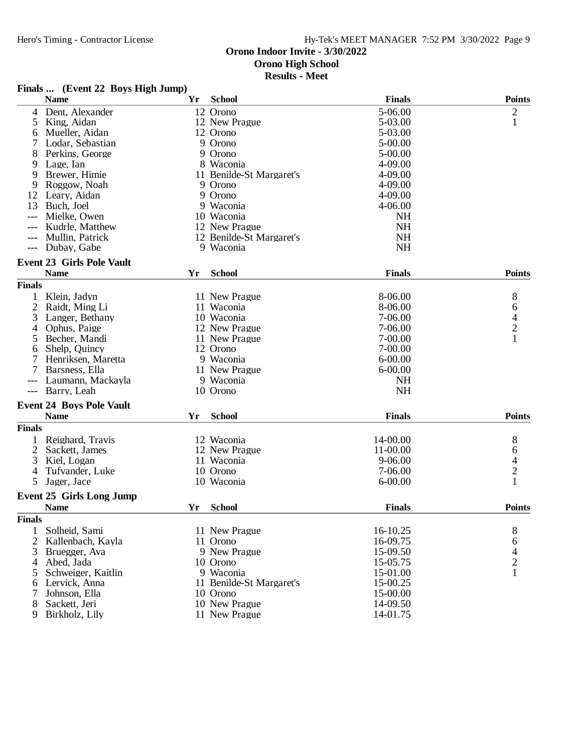**Results - Meet**

# **Finals ... (Event 22 Boys High Jump)**

| 5-06.00<br>12 Orono<br>$\overline{\mathbf{c}}$<br>Dent, Alexander<br>4<br>$\mathbf{1}$<br>5<br>5-03.00<br>King, Aidan<br>12 New Prague<br>Mueller, Aidan<br>12 Orono<br>5-03.00<br>6<br>9 Orono<br>7<br>Lodar, Sebastian<br>$5 - 00.00$<br>8<br>Perkins, George<br>9 Orono<br>$5 - 00.00$<br>Lage, Ian<br>8 Waconia<br>4-09.00<br>9<br>Brewer, Himie<br>11 Benilde-St Margaret's<br>9<br>4-09.00<br>9<br>Roggow, Noah<br>9 Orono<br>4-09.00<br>9 Orono<br>12<br>4-09.00<br>Leary, Aidan<br>13<br>Buch, Joel<br>9 Waconia<br>4-06.00<br>Mielke, Owen<br>10 Waconia<br><b>NH</b><br>$---$<br><b>NH</b><br>Kudrle, Matthew<br>12 New Prague<br>NH<br>Mullin, Patrick<br>12 Benilde-St Margaret's<br>9 Waconia<br><b>NH</b><br>Dubay, Gabe<br>$---$<br><b>Event 23 Girls Pole Vault</b><br><b>Name</b><br><b>School</b><br><b>Finals</b><br><b>Points</b><br>Yr<br><b>Finals</b><br>8-06.00<br>1<br>Klein, Jadyn<br>8<br>11 New Prague<br>2<br>Raidt, Ming Li<br>11 Waconia<br>8-06.00<br>6<br>4<br>3<br>Langer, Bethany<br>10 Waconia<br>7-06.00<br>$\overline{2}$<br>7-06.00<br>Ophus, Paige<br>12 New Prague<br>4<br>$\mathbf{1}$<br>7-00.00<br>Becher, Mandi<br>11 New Prague<br>5<br>Shelp, Quincy<br>12 Orono<br>7-00.00<br>6<br>7<br>$6 - 00.00$<br>Henriksen, Maretta<br>9 Waconia<br>Barsness, Ella<br>11 New Prague<br>$6 - 00.00$<br>Laumann, Mackayla<br>9 Waconia<br><b>NH</b><br><b>NH</b><br>Barry, Leah<br>10 Orono<br>$---$<br><b>Event 24 Boys Pole Vault</b><br><b>Name</b><br><b>School</b><br><b>Finals</b><br><b>Points</b><br>Yr<br><b>Finals</b><br>8<br>Reighard, Travis<br>12 Waconia<br>14-00.00<br>1<br>$\overline{2}$<br>12 New Prague<br>11-00.00<br>Sackett, James<br>6<br>$\frac{4}{2}$<br>3<br>Kiel, Logan<br>11 Waconia<br>$9 - 06.00$<br>Tufvander, Luke<br>10 Orono<br>7-06.00<br>4<br>$\mathbf{1}$<br>5<br>$6 - 00.00$<br>Jager, Jace<br>10 Waconia<br><b>Event 25 Girls Long Jump</b><br><b>Name</b><br><b>School</b><br><b>Points</b><br><b>Finals</b><br>Yr<br><b>Finals</b><br>16-10.25<br>Solheid, Sami<br>11 New Prague<br>8<br>1<br>16-09.75<br>2<br>Kallenbach, Kayla<br>11 Orono<br>6<br>4<br>3<br>Bruegger, Ava<br>9 New Prague<br>15-09.50<br>$\overline{c}$<br>15-05.75<br>Abed, Jada<br>10 Orono<br>4<br>$\mathbf{1}$<br>9 Waconia<br>15-01.00<br>Schweiger, Kaitlin<br>5<br>15-00.25<br>Lervick, Anna<br>11 Benilde-St Margaret's<br>6<br>15-00.00<br>7<br>Johnson, Ella<br>10 Orono<br>Sackett, Jeri<br>10 New Prague<br>14-09.50<br>8<br>11 New Prague<br>14-01.75<br>9<br>Birkholz, Lily | <b>Name</b> | Yr | <b>School</b> | <b>Finals</b> | <b>Points</b> |
|--------------------------------------------------------------------------------------------------------------------------------------------------------------------------------------------------------------------------------------------------------------------------------------------------------------------------------------------------------------------------------------------------------------------------------------------------------------------------------------------------------------------------------------------------------------------------------------------------------------------------------------------------------------------------------------------------------------------------------------------------------------------------------------------------------------------------------------------------------------------------------------------------------------------------------------------------------------------------------------------------------------------------------------------------------------------------------------------------------------------------------------------------------------------------------------------------------------------------------------------------------------------------------------------------------------------------------------------------------------------------------------------------------------------------------------------------------------------------------------------------------------------------------------------------------------------------------------------------------------------------------------------------------------------------------------------------------------------------------------------------------------------------------------------------------------------------------------------------------------------------------------------------------------------------------------------------------------------------------------------------------------------------------------------------------------------------------------------------------------------------------------------------------------------------------------------------------------------------------------------------------------------------------------------------------------------------------------------------------------------------------------------------------------------------------------------------------------------------------------------------------------------------------------------|-------------|----|---------------|---------------|---------------|
|                                                                                                                                                                                                                                                                                                                                                                                                                                                                                                                                                                                                                                                                                                                                                                                                                                                                                                                                                                                                                                                                                                                                                                                                                                                                                                                                                                                                                                                                                                                                                                                                                                                                                                                                                                                                                                                                                                                                                                                                                                                                                                                                                                                                                                                                                                                                                                                                                                                                                                                                            |             |    |               |               |               |
|                                                                                                                                                                                                                                                                                                                                                                                                                                                                                                                                                                                                                                                                                                                                                                                                                                                                                                                                                                                                                                                                                                                                                                                                                                                                                                                                                                                                                                                                                                                                                                                                                                                                                                                                                                                                                                                                                                                                                                                                                                                                                                                                                                                                                                                                                                                                                                                                                                                                                                                                            |             |    |               |               |               |
|                                                                                                                                                                                                                                                                                                                                                                                                                                                                                                                                                                                                                                                                                                                                                                                                                                                                                                                                                                                                                                                                                                                                                                                                                                                                                                                                                                                                                                                                                                                                                                                                                                                                                                                                                                                                                                                                                                                                                                                                                                                                                                                                                                                                                                                                                                                                                                                                                                                                                                                                            |             |    |               |               |               |
|                                                                                                                                                                                                                                                                                                                                                                                                                                                                                                                                                                                                                                                                                                                                                                                                                                                                                                                                                                                                                                                                                                                                                                                                                                                                                                                                                                                                                                                                                                                                                                                                                                                                                                                                                                                                                                                                                                                                                                                                                                                                                                                                                                                                                                                                                                                                                                                                                                                                                                                                            |             |    |               |               |               |
|                                                                                                                                                                                                                                                                                                                                                                                                                                                                                                                                                                                                                                                                                                                                                                                                                                                                                                                                                                                                                                                                                                                                                                                                                                                                                                                                                                                                                                                                                                                                                                                                                                                                                                                                                                                                                                                                                                                                                                                                                                                                                                                                                                                                                                                                                                                                                                                                                                                                                                                                            |             |    |               |               |               |
|                                                                                                                                                                                                                                                                                                                                                                                                                                                                                                                                                                                                                                                                                                                                                                                                                                                                                                                                                                                                                                                                                                                                                                                                                                                                                                                                                                                                                                                                                                                                                                                                                                                                                                                                                                                                                                                                                                                                                                                                                                                                                                                                                                                                                                                                                                                                                                                                                                                                                                                                            |             |    |               |               |               |
|                                                                                                                                                                                                                                                                                                                                                                                                                                                                                                                                                                                                                                                                                                                                                                                                                                                                                                                                                                                                                                                                                                                                                                                                                                                                                                                                                                                                                                                                                                                                                                                                                                                                                                                                                                                                                                                                                                                                                                                                                                                                                                                                                                                                                                                                                                                                                                                                                                                                                                                                            |             |    |               |               |               |
|                                                                                                                                                                                                                                                                                                                                                                                                                                                                                                                                                                                                                                                                                                                                                                                                                                                                                                                                                                                                                                                                                                                                                                                                                                                                                                                                                                                                                                                                                                                                                                                                                                                                                                                                                                                                                                                                                                                                                                                                                                                                                                                                                                                                                                                                                                                                                                                                                                                                                                                                            |             |    |               |               |               |
|                                                                                                                                                                                                                                                                                                                                                                                                                                                                                                                                                                                                                                                                                                                                                                                                                                                                                                                                                                                                                                                                                                                                                                                                                                                                                                                                                                                                                                                                                                                                                                                                                                                                                                                                                                                                                                                                                                                                                                                                                                                                                                                                                                                                                                                                                                                                                                                                                                                                                                                                            |             |    |               |               |               |
|                                                                                                                                                                                                                                                                                                                                                                                                                                                                                                                                                                                                                                                                                                                                                                                                                                                                                                                                                                                                                                                                                                                                                                                                                                                                                                                                                                                                                                                                                                                                                                                                                                                                                                                                                                                                                                                                                                                                                                                                                                                                                                                                                                                                                                                                                                                                                                                                                                                                                                                                            |             |    |               |               |               |
|                                                                                                                                                                                                                                                                                                                                                                                                                                                                                                                                                                                                                                                                                                                                                                                                                                                                                                                                                                                                                                                                                                                                                                                                                                                                                                                                                                                                                                                                                                                                                                                                                                                                                                                                                                                                                                                                                                                                                                                                                                                                                                                                                                                                                                                                                                                                                                                                                                                                                                                                            |             |    |               |               |               |
|                                                                                                                                                                                                                                                                                                                                                                                                                                                                                                                                                                                                                                                                                                                                                                                                                                                                                                                                                                                                                                                                                                                                                                                                                                                                                                                                                                                                                                                                                                                                                                                                                                                                                                                                                                                                                                                                                                                                                                                                                                                                                                                                                                                                                                                                                                                                                                                                                                                                                                                                            |             |    |               |               |               |
|                                                                                                                                                                                                                                                                                                                                                                                                                                                                                                                                                                                                                                                                                                                                                                                                                                                                                                                                                                                                                                                                                                                                                                                                                                                                                                                                                                                                                                                                                                                                                                                                                                                                                                                                                                                                                                                                                                                                                                                                                                                                                                                                                                                                                                                                                                                                                                                                                                                                                                                                            |             |    |               |               |               |
|                                                                                                                                                                                                                                                                                                                                                                                                                                                                                                                                                                                                                                                                                                                                                                                                                                                                                                                                                                                                                                                                                                                                                                                                                                                                                                                                                                                                                                                                                                                                                                                                                                                                                                                                                                                                                                                                                                                                                                                                                                                                                                                                                                                                                                                                                                                                                                                                                                                                                                                                            |             |    |               |               |               |
|                                                                                                                                                                                                                                                                                                                                                                                                                                                                                                                                                                                                                                                                                                                                                                                                                                                                                                                                                                                                                                                                                                                                                                                                                                                                                                                                                                                                                                                                                                                                                                                                                                                                                                                                                                                                                                                                                                                                                                                                                                                                                                                                                                                                                                                                                                                                                                                                                                                                                                                                            |             |    |               |               |               |
|                                                                                                                                                                                                                                                                                                                                                                                                                                                                                                                                                                                                                                                                                                                                                                                                                                                                                                                                                                                                                                                                                                                                                                                                                                                                                                                                                                                                                                                                                                                                                                                                                                                                                                                                                                                                                                                                                                                                                                                                                                                                                                                                                                                                                                                                                                                                                                                                                                                                                                                                            |             |    |               |               |               |
|                                                                                                                                                                                                                                                                                                                                                                                                                                                                                                                                                                                                                                                                                                                                                                                                                                                                                                                                                                                                                                                                                                                                                                                                                                                                                                                                                                                                                                                                                                                                                                                                                                                                                                                                                                                                                                                                                                                                                                                                                                                                                                                                                                                                                                                                                                                                                                                                                                                                                                                                            |             |    |               |               |               |
|                                                                                                                                                                                                                                                                                                                                                                                                                                                                                                                                                                                                                                                                                                                                                                                                                                                                                                                                                                                                                                                                                                                                                                                                                                                                                                                                                                                                                                                                                                                                                                                                                                                                                                                                                                                                                                                                                                                                                                                                                                                                                                                                                                                                                                                                                                                                                                                                                                                                                                                                            |             |    |               |               |               |
|                                                                                                                                                                                                                                                                                                                                                                                                                                                                                                                                                                                                                                                                                                                                                                                                                                                                                                                                                                                                                                                                                                                                                                                                                                                                                                                                                                                                                                                                                                                                                                                                                                                                                                                                                                                                                                                                                                                                                                                                                                                                                                                                                                                                                                                                                                                                                                                                                                                                                                                                            |             |    |               |               |               |
|                                                                                                                                                                                                                                                                                                                                                                                                                                                                                                                                                                                                                                                                                                                                                                                                                                                                                                                                                                                                                                                                                                                                                                                                                                                                                                                                                                                                                                                                                                                                                                                                                                                                                                                                                                                                                                                                                                                                                                                                                                                                                                                                                                                                                                                                                                                                                                                                                                                                                                                                            |             |    |               |               |               |
|                                                                                                                                                                                                                                                                                                                                                                                                                                                                                                                                                                                                                                                                                                                                                                                                                                                                                                                                                                                                                                                                                                                                                                                                                                                                                                                                                                                                                                                                                                                                                                                                                                                                                                                                                                                                                                                                                                                                                                                                                                                                                                                                                                                                                                                                                                                                                                                                                                                                                                                                            |             |    |               |               |               |
|                                                                                                                                                                                                                                                                                                                                                                                                                                                                                                                                                                                                                                                                                                                                                                                                                                                                                                                                                                                                                                                                                                                                                                                                                                                                                                                                                                                                                                                                                                                                                                                                                                                                                                                                                                                                                                                                                                                                                                                                                                                                                                                                                                                                                                                                                                                                                                                                                                                                                                                                            |             |    |               |               |               |
|                                                                                                                                                                                                                                                                                                                                                                                                                                                                                                                                                                                                                                                                                                                                                                                                                                                                                                                                                                                                                                                                                                                                                                                                                                                                                                                                                                                                                                                                                                                                                                                                                                                                                                                                                                                                                                                                                                                                                                                                                                                                                                                                                                                                                                                                                                                                                                                                                                                                                                                                            |             |    |               |               |               |
|                                                                                                                                                                                                                                                                                                                                                                                                                                                                                                                                                                                                                                                                                                                                                                                                                                                                                                                                                                                                                                                                                                                                                                                                                                                                                                                                                                                                                                                                                                                                                                                                                                                                                                                                                                                                                                                                                                                                                                                                                                                                                                                                                                                                                                                                                                                                                                                                                                                                                                                                            |             |    |               |               |               |
|                                                                                                                                                                                                                                                                                                                                                                                                                                                                                                                                                                                                                                                                                                                                                                                                                                                                                                                                                                                                                                                                                                                                                                                                                                                                                                                                                                                                                                                                                                                                                                                                                                                                                                                                                                                                                                                                                                                                                                                                                                                                                                                                                                                                                                                                                                                                                                                                                                                                                                                                            |             |    |               |               |               |
|                                                                                                                                                                                                                                                                                                                                                                                                                                                                                                                                                                                                                                                                                                                                                                                                                                                                                                                                                                                                                                                                                                                                                                                                                                                                                                                                                                                                                                                                                                                                                                                                                                                                                                                                                                                                                                                                                                                                                                                                                                                                                                                                                                                                                                                                                                                                                                                                                                                                                                                                            |             |    |               |               |               |
|                                                                                                                                                                                                                                                                                                                                                                                                                                                                                                                                                                                                                                                                                                                                                                                                                                                                                                                                                                                                                                                                                                                                                                                                                                                                                                                                                                                                                                                                                                                                                                                                                                                                                                                                                                                                                                                                                                                                                                                                                                                                                                                                                                                                                                                                                                                                                                                                                                                                                                                                            |             |    |               |               |               |
|                                                                                                                                                                                                                                                                                                                                                                                                                                                                                                                                                                                                                                                                                                                                                                                                                                                                                                                                                                                                                                                                                                                                                                                                                                                                                                                                                                                                                                                                                                                                                                                                                                                                                                                                                                                                                                                                                                                                                                                                                                                                                                                                                                                                                                                                                                                                                                                                                                                                                                                                            |             |    |               |               |               |
|                                                                                                                                                                                                                                                                                                                                                                                                                                                                                                                                                                                                                                                                                                                                                                                                                                                                                                                                                                                                                                                                                                                                                                                                                                                                                                                                                                                                                                                                                                                                                                                                                                                                                                                                                                                                                                                                                                                                                                                                                                                                                                                                                                                                                                                                                                                                                                                                                                                                                                                                            |             |    |               |               |               |
|                                                                                                                                                                                                                                                                                                                                                                                                                                                                                                                                                                                                                                                                                                                                                                                                                                                                                                                                                                                                                                                                                                                                                                                                                                                                                                                                                                                                                                                                                                                                                                                                                                                                                                                                                                                                                                                                                                                                                                                                                                                                                                                                                                                                                                                                                                                                                                                                                                                                                                                                            |             |    |               |               |               |
|                                                                                                                                                                                                                                                                                                                                                                                                                                                                                                                                                                                                                                                                                                                                                                                                                                                                                                                                                                                                                                                                                                                                                                                                                                                                                                                                                                                                                                                                                                                                                                                                                                                                                                                                                                                                                                                                                                                                                                                                                                                                                                                                                                                                                                                                                                                                                                                                                                                                                                                                            |             |    |               |               |               |
|                                                                                                                                                                                                                                                                                                                                                                                                                                                                                                                                                                                                                                                                                                                                                                                                                                                                                                                                                                                                                                                                                                                                                                                                                                                                                                                                                                                                                                                                                                                                                                                                                                                                                                                                                                                                                                                                                                                                                                                                                                                                                                                                                                                                                                                                                                                                                                                                                                                                                                                                            |             |    |               |               |               |
|                                                                                                                                                                                                                                                                                                                                                                                                                                                                                                                                                                                                                                                                                                                                                                                                                                                                                                                                                                                                                                                                                                                                                                                                                                                                                                                                                                                                                                                                                                                                                                                                                                                                                                                                                                                                                                                                                                                                                                                                                                                                                                                                                                                                                                                                                                                                                                                                                                                                                                                                            |             |    |               |               |               |
|                                                                                                                                                                                                                                                                                                                                                                                                                                                                                                                                                                                                                                                                                                                                                                                                                                                                                                                                                                                                                                                                                                                                                                                                                                                                                                                                                                                                                                                                                                                                                                                                                                                                                                                                                                                                                                                                                                                                                                                                                                                                                                                                                                                                                                                                                                                                                                                                                                                                                                                                            |             |    |               |               |               |
|                                                                                                                                                                                                                                                                                                                                                                                                                                                                                                                                                                                                                                                                                                                                                                                                                                                                                                                                                                                                                                                                                                                                                                                                                                                                                                                                                                                                                                                                                                                                                                                                                                                                                                                                                                                                                                                                                                                                                                                                                                                                                                                                                                                                                                                                                                                                                                                                                                                                                                                                            |             |    |               |               |               |
|                                                                                                                                                                                                                                                                                                                                                                                                                                                                                                                                                                                                                                                                                                                                                                                                                                                                                                                                                                                                                                                                                                                                                                                                                                                                                                                                                                                                                                                                                                                                                                                                                                                                                                                                                                                                                                                                                                                                                                                                                                                                                                                                                                                                                                                                                                                                                                                                                                                                                                                                            |             |    |               |               |               |
|                                                                                                                                                                                                                                                                                                                                                                                                                                                                                                                                                                                                                                                                                                                                                                                                                                                                                                                                                                                                                                                                                                                                                                                                                                                                                                                                                                                                                                                                                                                                                                                                                                                                                                                                                                                                                                                                                                                                                                                                                                                                                                                                                                                                                                                                                                                                                                                                                                                                                                                                            |             |    |               |               |               |
|                                                                                                                                                                                                                                                                                                                                                                                                                                                                                                                                                                                                                                                                                                                                                                                                                                                                                                                                                                                                                                                                                                                                                                                                                                                                                                                                                                                                                                                                                                                                                                                                                                                                                                                                                                                                                                                                                                                                                                                                                                                                                                                                                                                                                                                                                                                                                                                                                                                                                                                                            |             |    |               |               |               |
|                                                                                                                                                                                                                                                                                                                                                                                                                                                                                                                                                                                                                                                                                                                                                                                                                                                                                                                                                                                                                                                                                                                                                                                                                                                                                                                                                                                                                                                                                                                                                                                                                                                                                                                                                                                                                                                                                                                                                                                                                                                                                                                                                                                                                                                                                                                                                                                                                                                                                                                                            |             |    |               |               |               |
|                                                                                                                                                                                                                                                                                                                                                                                                                                                                                                                                                                                                                                                                                                                                                                                                                                                                                                                                                                                                                                                                                                                                                                                                                                                                                                                                                                                                                                                                                                                                                                                                                                                                                                                                                                                                                                                                                                                                                                                                                                                                                                                                                                                                                                                                                                                                                                                                                                                                                                                                            |             |    |               |               |               |
|                                                                                                                                                                                                                                                                                                                                                                                                                                                                                                                                                                                                                                                                                                                                                                                                                                                                                                                                                                                                                                                                                                                                                                                                                                                                                                                                                                                                                                                                                                                                                                                                                                                                                                                                                                                                                                                                                                                                                                                                                                                                                                                                                                                                                                                                                                                                                                                                                                                                                                                                            |             |    |               |               |               |
|                                                                                                                                                                                                                                                                                                                                                                                                                                                                                                                                                                                                                                                                                                                                                                                                                                                                                                                                                                                                                                                                                                                                                                                                                                                                                                                                                                                                                                                                                                                                                                                                                                                                                                                                                                                                                                                                                                                                                                                                                                                                                                                                                                                                                                                                                                                                                                                                                                                                                                                                            |             |    |               |               |               |
|                                                                                                                                                                                                                                                                                                                                                                                                                                                                                                                                                                                                                                                                                                                                                                                                                                                                                                                                                                                                                                                                                                                                                                                                                                                                                                                                                                                                                                                                                                                                                                                                                                                                                                                                                                                                                                                                                                                                                                                                                                                                                                                                                                                                                                                                                                                                                                                                                                                                                                                                            |             |    |               |               |               |
|                                                                                                                                                                                                                                                                                                                                                                                                                                                                                                                                                                                                                                                                                                                                                                                                                                                                                                                                                                                                                                                                                                                                                                                                                                                                                                                                                                                                                                                                                                                                                                                                                                                                                                                                                                                                                                                                                                                                                                                                                                                                                                                                                                                                                                                                                                                                                                                                                                                                                                                                            |             |    |               |               |               |
|                                                                                                                                                                                                                                                                                                                                                                                                                                                                                                                                                                                                                                                                                                                                                                                                                                                                                                                                                                                                                                                                                                                                                                                                                                                                                                                                                                                                                                                                                                                                                                                                                                                                                                                                                                                                                                                                                                                                                                                                                                                                                                                                                                                                                                                                                                                                                                                                                                                                                                                                            |             |    |               |               |               |
|                                                                                                                                                                                                                                                                                                                                                                                                                                                                                                                                                                                                                                                                                                                                                                                                                                                                                                                                                                                                                                                                                                                                                                                                                                                                                                                                                                                                                                                                                                                                                                                                                                                                                                                                                                                                                                                                                                                                                                                                                                                                                                                                                                                                                                                                                                                                                                                                                                                                                                                                            |             |    |               |               |               |
|                                                                                                                                                                                                                                                                                                                                                                                                                                                                                                                                                                                                                                                                                                                                                                                                                                                                                                                                                                                                                                                                                                                                                                                                                                                                                                                                                                                                                                                                                                                                                                                                                                                                                                                                                                                                                                                                                                                                                                                                                                                                                                                                                                                                                                                                                                                                                                                                                                                                                                                                            |             |    |               |               |               |
|                                                                                                                                                                                                                                                                                                                                                                                                                                                                                                                                                                                                                                                                                                                                                                                                                                                                                                                                                                                                                                                                                                                                                                                                                                                                                                                                                                                                                                                                                                                                                                                                                                                                                                                                                                                                                                                                                                                                                                                                                                                                                                                                                                                                                                                                                                                                                                                                                                                                                                                                            |             |    |               |               |               |
|                                                                                                                                                                                                                                                                                                                                                                                                                                                                                                                                                                                                                                                                                                                                                                                                                                                                                                                                                                                                                                                                                                                                                                                                                                                                                                                                                                                                                                                                                                                                                                                                                                                                                                                                                                                                                                                                                                                                                                                                                                                                                                                                                                                                                                                                                                                                                                                                                                                                                                                                            |             |    |               |               |               |
|                                                                                                                                                                                                                                                                                                                                                                                                                                                                                                                                                                                                                                                                                                                                                                                                                                                                                                                                                                                                                                                                                                                                                                                                                                                                                                                                                                                                                                                                                                                                                                                                                                                                                                                                                                                                                                                                                                                                                                                                                                                                                                                                                                                                                                                                                                                                                                                                                                                                                                                                            |             |    |               |               |               |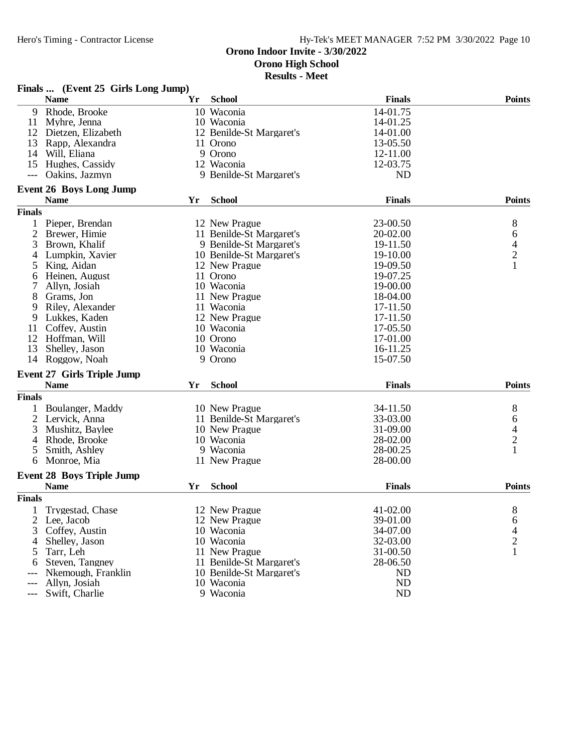**Results - Meet**

|                | Finals  (Event 25 Girls Long Jump) |    |                          |               |                                            |
|----------------|------------------------------------|----|--------------------------|---------------|--------------------------------------------|
|                | <b>Name</b>                        | Yr | <b>School</b>            | <b>Finals</b> | <b>Points</b>                              |
| 9              | Rhode, Brooke                      |    | 10 Waconia               | 14-01.75      |                                            |
| 11             | Myhre, Jenna                       |    | 10 Waconia               | 14-01.25      |                                            |
| 12             | Dietzen, Elizabeth                 |    | 12 Benilde-St Margaret's | 14-01.00      |                                            |
| 13             | Rapp, Alexandra                    |    | 11 Orono                 | 13-05.50      |                                            |
| 14             | Will, Eliana                       |    | 9 Orono                  | 12-11.00      |                                            |
| 15             | Hughes, Cassidy                    |    | 12 Waconia               | 12-03.75      |                                            |
|                | Oakins, Jazmyn                     |    | 9 Benilde-St Margaret's  | <b>ND</b>     |                                            |
|                | <b>Event 26 Boys Long Jump</b>     |    |                          |               |                                            |
|                | <b>Name</b>                        | Yr | <b>School</b>            | <b>Finals</b> | <b>Points</b>                              |
| <b>Finals</b>  |                                    |    |                          |               |                                            |
| $\mathbf{1}$   | Pieper, Brendan                    |    | 12 New Prague            | 23-00.50      | 8                                          |
| 2              | Brewer, Himie                      |    | 11 Benilde-St Margaret's | 20-02.00      | 6                                          |
| 3              | Brown, Khalif                      |    | 9 Benilde-St Margaret's  | 19-11.50      |                                            |
| 4              | Lumpkin, Xavier                    |    | 10 Benilde-St Margaret's | 19-10.00      | $\frac{4}{2}$                              |
|                |                                    |    |                          |               | $\mathbf{1}$                               |
| 5              | King, Aidan                        |    | 12 New Prague            | 19-09.50      |                                            |
| 6              | Heinen, August                     |    | 11 Orono                 | 19-07.25      |                                            |
|                | Allyn, Josiah                      |    | 10 Waconia               | 19-00.00      |                                            |
| 8              | Grams, Jon                         |    | 11 New Prague            | 18-04.00      |                                            |
| 9              | Riley, Alexander                   |    | 11 Waconia               | 17-11.50      |                                            |
| 9              | Lukkes, Kaden                      |    | 12 New Prague            | 17-11.50      |                                            |
| 11             | Coffey, Austin                     |    | 10 Waconia               | 17-05.50      |                                            |
|                | 12 Hoffman, Will                   |    | 10 Orono                 | 17-01.00      |                                            |
| 13             | Shelley, Jason                     |    | 10 Waconia               | 16-11.25      |                                            |
| 14             | Roggow, Noah                       |    | 9 Orono                  | 15-07.50      |                                            |
|                | <b>Event 27 Girls Triple Jump</b>  |    |                          |               |                                            |
|                | <b>Name</b>                        | Yr | <b>School</b>            | <b>Finals</b> | <b>Points</b>                              |
| <b>Finals</b>  |                                    |    |                          |               |                                            |
| 1              | Boulanger, Maddy                   |    | 10 New Prague            | 34-11.50      | 8                                          |
| $\overline{2}$ | Lervick, Anna                      |    | 11 Benilde-St Margaret's | 33-03.00      |                                            |
| 3              | Mushitz, Baylee                    |    | 10 New Prague            | 31-09.00      |                                            |
| 4              | Rhode, Brooke                      |    | 10 Waconia               | 28-02.00      | $\begin{array}{c} 6 \\ 4 \\ 2 \end{array}$ |
| 5              | Smith, Ashley                      |    | 9 Waconia                | 28-00.25      | $\mathbf{1}$                               |
| 6              | Monroe, Mia                        |    | 11 New Prague            | 28-00.00      |                                            |
|                | <b>Event 28 Boys Triple Jump</b>   |    |                          |               |                                            |
|                | <b>Name</b>                        | Yr | <b>School</b>            | <b>Finals</b> | <b>Points</b>                              |
| <b>Finals</b>  |                                    |    |                          |               |                                            |
|                | Trygestad, Chase                   |    | 12 New Prague            | 41-02.00      |                                            |
| 1              |                                    |    |                          |               | 8                                          |
| 2              | Lee, Jacob                         |    | 12 New Prague            | 39-01.00      | 6                                          |
| 3              | Coffey, Austin                     |    | 10 Waconia               | 34-07.00      | $\overline{4}$                             |
| $\overline{4}$ | Shelley, Jason                     |    | 10 Waconia               | 32-03.00      | $\overline{c}$                             |
| 5              | Tarr, Leh                          |    | 11 New Prague            | 31-00.50      | $\mathbf{1}$                               |
| 6              | Steven, Tangney                    |    | 11 Benilde-St Margaret's | 28-06.50      |                                            |
|                | Nkemough, Franklin                 |    | 10 Benilde-St Margaret's | ND            |                                            |
| ---            | Allyn, Josiah                      |    | 10 Waconia               | ND            |                                            |
| ---            | Swift, Charlie                     |    | 9 Waconia                | ND            |                                            |